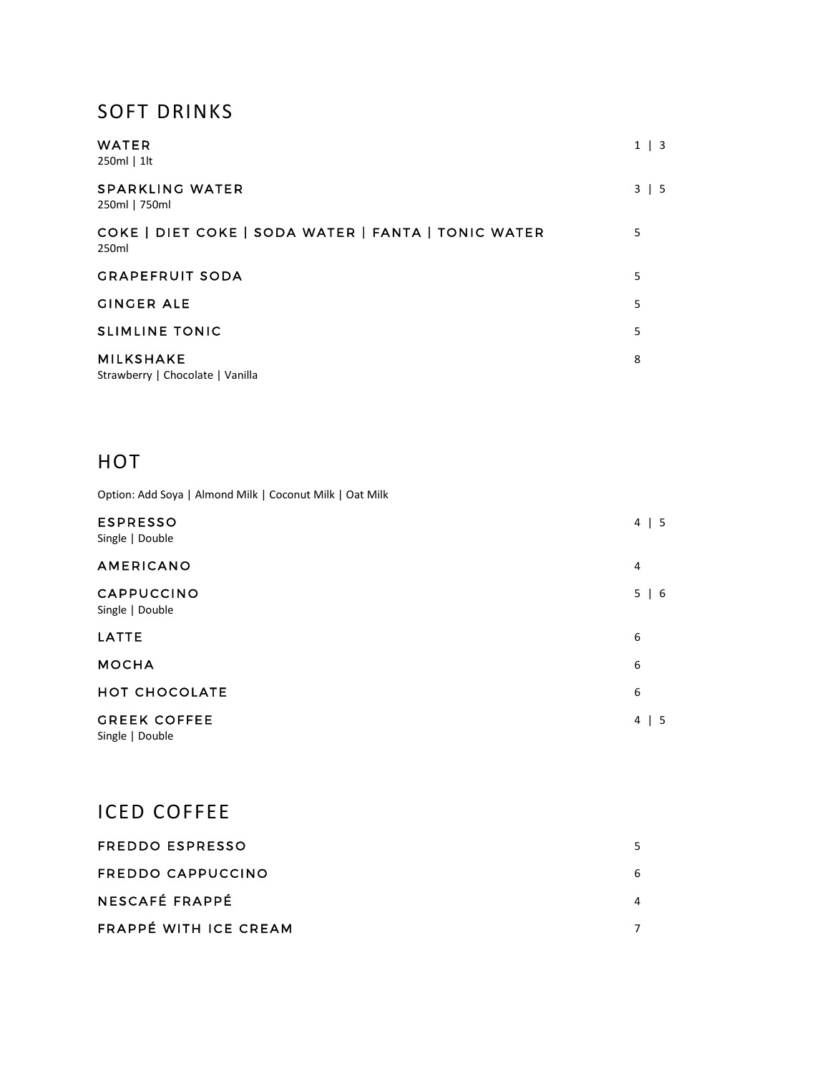#### SOFT DRINKS

| <b>WATER</b><br>250ml   1lt                                  | $1 \mid 3$ |
|--------------------------------------------------------------|------------|
| <b>SPARKLING WATER</b><br>250ml   750ml                      | $3 \mid 5$ |
| COKE   DIET COKE   SODA WATER   FANTA   TONIC WATER<br>250ml | 5          |
| <b>GRAPEFRUIT SODA</b>                                       | 5          |
| <b>GINGER ALE</b>                                            | 5          |
| <b>SLIMLINE TONIC</b>                                        | 5          |
| <b>MILKSHAKE</b><br>Strawberry   Chocolate   Vanilla         | 8          |

### **HOT**

Option: Add Soya | Almond Milk | Coconut Milk | Oat Milk

| <b>ESPRESSO</b><br>Single   Double     | 4<br>$\vert 5$                         |
|----------------------------------------|----------------------------------------|
| <b>AMERICANO</b>                       | $\overline{4}$                         |
| CAPPUCCINO<br>Single   Double          | 5<br>$\begin{bmatrix} 6 \end{bmatrix}$ |
| LATTE                                  | 6                                      |
| <b>MOCHA</b>                           | 6                                      |
| <b>HOT CHOCOLATE</b>                   | 6                                      |
| <b>GREEK COFFEE</b><br>Single   Double | 4<br>$\vert 5$                         |

# ICED COFFEE

| FREDDO ESPRESSO       |   |
|-----------------------|---|
| FREDDO CAPPUCCINO     | 6 |
| NESCAFÉ FRAPPÉ        | 4 |
| FRAPPÉ WITH ICE CREAM |   |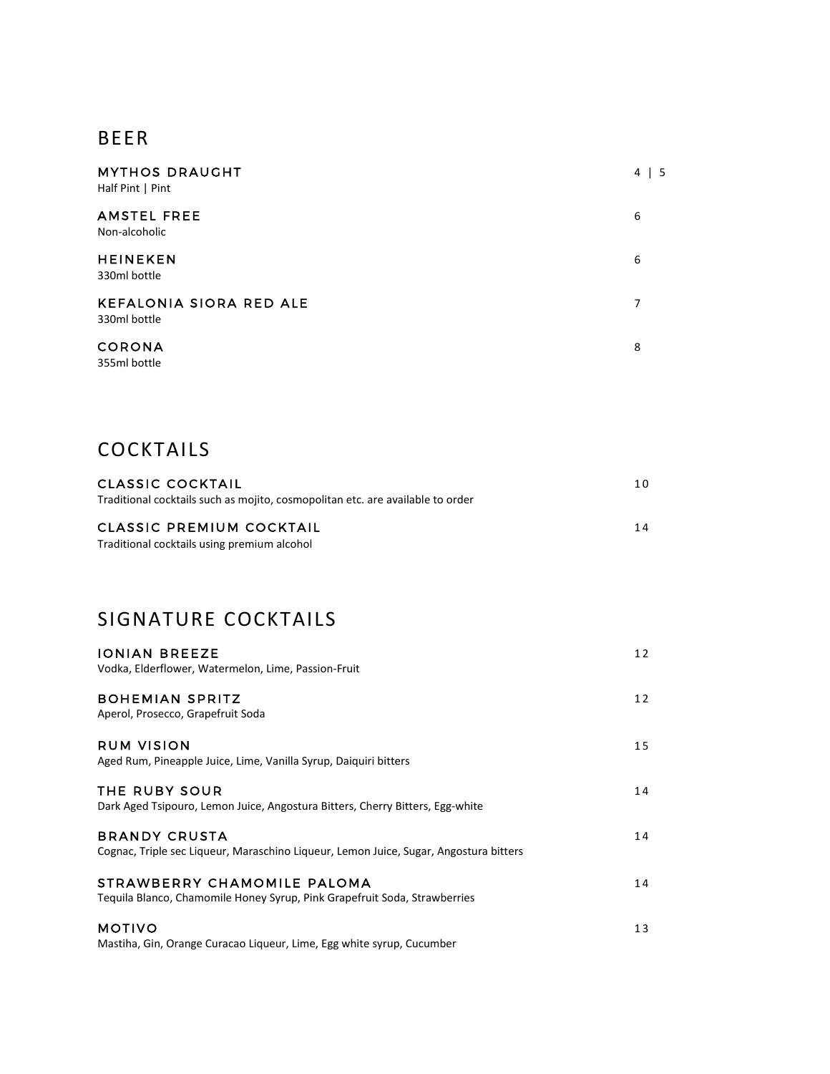#### BEER

| <b>MYTHOS DRAUGHT</b><br>Half Pint   Pint      | 4<br>- 5 |
|------------------------------------------------|----------|
| <b>AMSTEL FREE</b><br>Non-alcoholic            | 6        |
| <b>HEINEKEN</b><br>330ml bottle                | 6        |
| <b>KEFALONIA SIORA RED ALE</b><br>330ml bottle | 7        |
| <b>CORONA</b><br>355ml bottle                  | 8        |

### COCKTAILS

| CLASSIC COCKTAIL                                                               | 1 O |
|--------------------------------------------------------------------------------|-----|
| Traditional cocktails such as mojito, cosmopolitan etc. are available to order |     |
| <b>CLASSIC PREMIUM COCKTAIL</b>                                                | 14  |
|                                                                                |     |
| Traditional cocktails using premium alcohol                                    |     |

## SIGNATURE COCKTAILS

| <b>IONIAN BREEZE</b>                                                                                          | 12 |
|---------------------------------------------------------------------------------------------------------------|----|
| Vodka, Elderflower, Watermelon, Lime, Passion-Fruit                                                           |    |
| <b>BOHEMIAN SPRITZ</b><br>Aperol, Prosecco, Grapefruit Soda                                                   | 12 |
|                                                                                                               |    |
| <b>RUM VISION</b><br>Aged Rum, Pineapple Juice, Lime, Vanilla Syrup, Daiquiri bitters                         | 15 |
|                                                                                                               |    |
| THE RUBY SOUR<br>Dark Aged Tsipouro, Lemon Juice, Angostura Bitters, Cherry Bitters, Egg-white                | 14 |
|                                                                                                               |    |
| <b>BRANDY CRUSTA</b><br>Cognac, Triple sec Liqueur, Maraschino Liqueur, Lemon Juice, Sugar, Angostura bitters | 14 |
| STRAWBERRY CHAMOMILE PALOMA                                                                                   | 14 |
| Tequila Blanco, Chamomile Honey Syrup, Pink Grapefruit Soda, Strawberries                                     |    |
| <b>MOTIVO</b>                                                                                                 | 13 |
| Mastiha, Gin, Orange Curacao Liqueur, Lime, Egg white syrup, Cucumber                                         |    |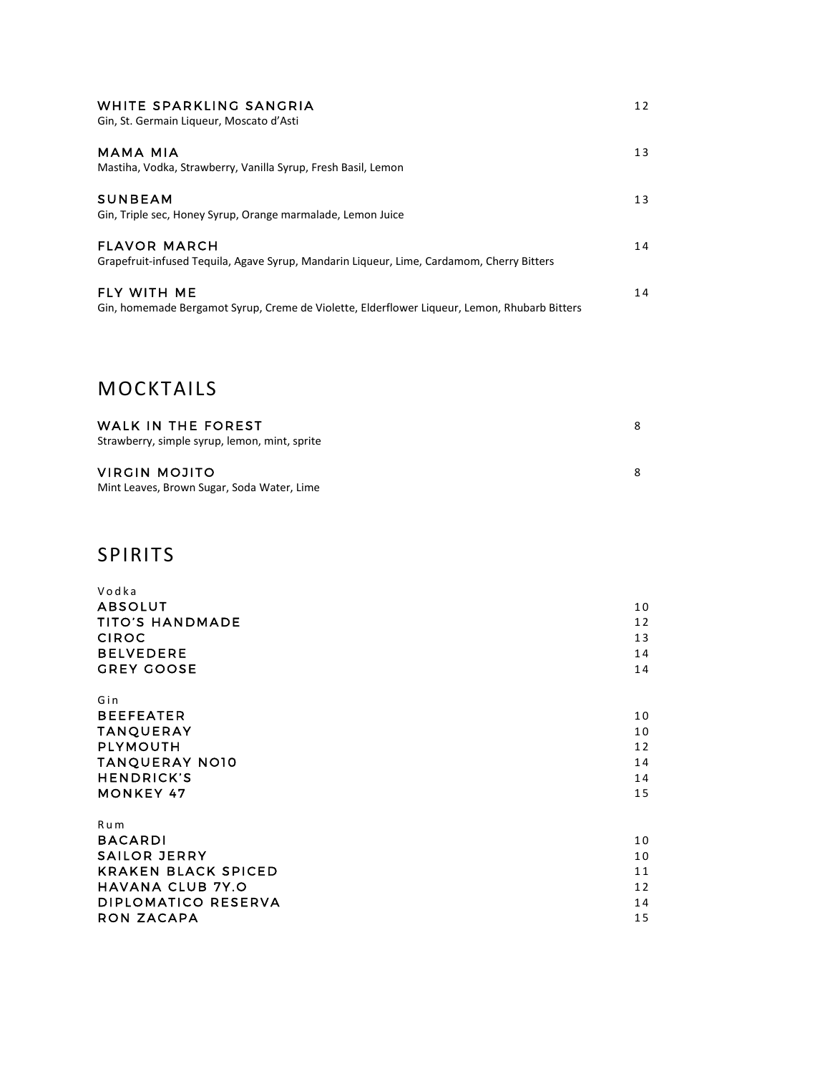| WHITE SPARKLING SANGRIA<br>Gin, St. Germain Liqueur, Moscato d'Asti                                                | 12 |
|--------------------------------------------------------------------------------------------------------------------|----|
| <b>MAMA MIA</b><br>Mastiha, Vodka, Strawberry, Vanilla Syrup, Fresh Basil, Lemon                                   | 13 |
| <b>SUNBEAM</b><br>Gin, Triple sec, Honey Syrup, Orange marmalade, Lemon Juice                                      | 13 |
| <b>FLAVOR MARCH</b><br>Grapefruit-infused Tequila, Agave Syrup, Mandarin Liqueur, Lime, Cardamom, Cherry Bitters   | 14 |
| <b>FLY WITH ME</b><br>Gin, homemade Bergamot Syrup, Creme de Violette, Elderflower Liqueur, Lemon, Rhubarb Bitters | 14 |

# MOCKTAILS

| WALK IN THE FOREST<br>Strawberry, simple syrup, lemon, mint, sprite | 8. |
|---------------------------------------------------------------------|----|
| VIRGIN MOJITO<br>Mint Leaves, Brown Sugar, Soda Water, Lime         | 8. |

# SPIRITS

| Vodka                      |    |
|----------------------------|----|
| <b>ABSOLUT</b>             | 10 |
| <b>TITO'S HANDMADE</b>     | 12 |
| <b>CIROC</b>               | 13 |
| <b>BELVEDERE</b>           | 14 |
| <b>GREY GOOSE</b>          | 14 |
|                            |    |
| Gin                        |    |
| <b>BEEFEATER</b>           | 10 |
| <b>TANQUERAY</b>           | 10 |
| <b>PLYMOUTH</b>            | 12 |
| <b>TANQUERAY NO10</b>      | 14 |
| <b>HENDRICK'S</b>          | 14 |
| <b>MONKEY 47</b>           | 15 |
| Rum                        |    |
| <b>BACARDI</b>             | 10 |
| <b>SAILOR JERRY</b>        | 10 |
| <b>KRAKEN BLACK SPICED</b> | 11 |
| <b>HAVANA CLUB 7Y.O</b>    | 12 |
| DIPLOMATICO RESERVA        | 14 |
| <b>RON ZACAPA</b>          | 15 |
|                            |    |